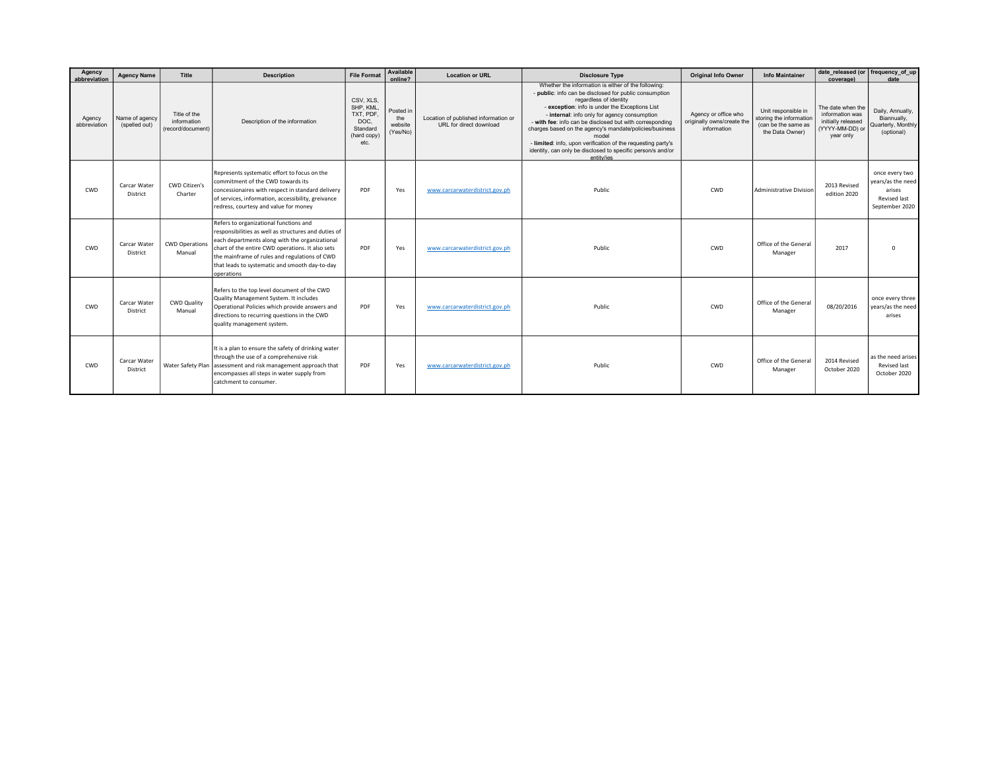| Agency<br>abbreviation | <b>Agency Name</b>              | Title                                            | <b>Description</b>                                                                                                                                                                                                                                                                                                    | <b>File Format</b>                                                            | Available<br>online?                    | <b>Location or URL</b>                                          | <b>Disclosure Type</b>                                                                                                                                                                                                                                                                                                                                                                                                                                                                                                 | <b>Original Info Owner</b>                                        | <b>Info Maintainer</b>                                                                   | date_released (or   frequency_of_up<br>coverage)                                           | date                                                                            |
|------------------------|---------------------------------|--------------------------------------------------|-----------------------------------------------------------------------------------------------------------------------------------------------------------------------------------------------------------------------------------------------------------------------------------------------------------------------|-------------------------------------------------------------------------------|-----------------------------------------|-----------------------------------------------------------------|------------------------------------------------------------------------------------------------------------------------------------------------------------------------------------------------------------------------------------------------------------------------------------------------------------------------------------------------------------------------------------------------------------------------------------------------------------------------------------------------------------------------|-------------------------------------------------------------------|------------------------------------------------------------------------------------------|--------------------------------------------------------------------------------------------|---------------------------------------------------------------------------------|
| Agency<br>abbreviation | Name of agency<br>(spelled out) | Title of the<br>information<br>(record/document) | Description of the information                                                                                                                                                                                                                                                                                        | CSV, XLS,<br>SHP, KML<br>TXT, PDF.<br>DOC.<br>Standard<br>(hard copy)<br>etc. | Posted in<br>the<br>website<br>(Yes/No) | Location of published information or<br>URL for direct download | Whether the information is either of the following:<br>- public: info can be disclosed for public consumption<br>regardless of identity<br>- exception: info is under the Exceptions List<br>- internal: info only for agency consumption<br>- with fee: info can be disclosed but with corresponding<br>charges based on the agency's mandate/policies/business<br>model<br>- limited: info, upon verification of the requesting party's<br>identity, can only be disclosed to specific person/s and/or<br>entity/ies | Agency or office who<br>originally owns/create the<br>information | Unit responsible in<br>storing the information<br>(can be the same as<br>the Data Owner) | The date when the<br>information was<br>initially released<br>(YYYY-MM-DD) or<br>year only | Daily, Annually,<br>Biannually,<br>Quarterly, Monthly<br>(optional)             |
| CWD                    | Carcar Water<br>District        | CWD Citizen's<br>Charter                         | Represents systematic effort to focus on the<br>commitment of the CWD towards its<br>concessionaires with respect in standard delivery<br>of services, information, accessibility, greivance<br>redress, courtesy and value for money                                                                                 | PDF                                                                           | Yes                                     | www.carcarwaterdistrict.gov.ph                                  | Public                                                                                                                                                                                                                                                                                                                                                                                                                                                                                                                 | CWD                                                               | Administrative Division                                                                  | 2013 Revised<br>edition 2020                                                               | once every two<br>years/as the need<br>arises<br>Revised last<br>September 2020 |
| CWD                    | Carcar Water<br>District        | <b>CWD Operations</b><br>Manual                  | Refers to organizational functions and<br>responsibilities as well as structures and duties of<br>each departments along with the organizational<br>chart of the entire CWD operations. It also sets<br>the mainframe of rules and regulations of CWD<br>that leads to systematic and smooth day-to-day<br>operations | PDF                                                                           | Yes                                     | www.carcarwaterdistrict.gov.ph                                  | Public                                                                                                                                                                                                                                                                                                                                                                                                                                                                                                                 | CWD                                                               | Office of the General<br>Manager                                                         | 2017                                                                                       | $\Omega$                                                                        |
| CWD                    | Carcar Water<br>District        | <b>CWD Quality</b><br>Manual                     | Refers to the top level document of the CWD<br>Quality Management System. It includes<br>Operational Policies which provide answers and<br>directions to recurring questions in the CWD<br>quality management system.                                                                                                 | PDF                                                                           | Yes                                     | www.carcarwaterdistrict.gov.ph                                  | Public                                                                                                                                                                                                                                                                                                                                                                                                                                                                                                                 | CWD                                                               | Office of the General<br>Manager                                                         | 08/20/2016                                                                                 | once every three<br>years/as the need<br>arises                                 |
| CWD                    | Carcar Water<br>District        |                                                  | It is a plan to ensure the safety of drinking water<br>through the use of a comprehensive risk<br>Water Safety Plan assessment and risk management approach that<br>encompasses all steps in water supply from<br>catchment to consumer.                                                                              | PDF                                                                           | Yes                                     | www.carcarwaterdistrict.gov.ph                                  | Public                                                                                                                                                                                                                                                                                                                                                                                                                                                                                                                 | CWD                                                               | Office of the General<br>Manager                                                         | 2014 Revised<br>October 2020                                                               | as the need arises<br>Revised last<br>October 2020                              |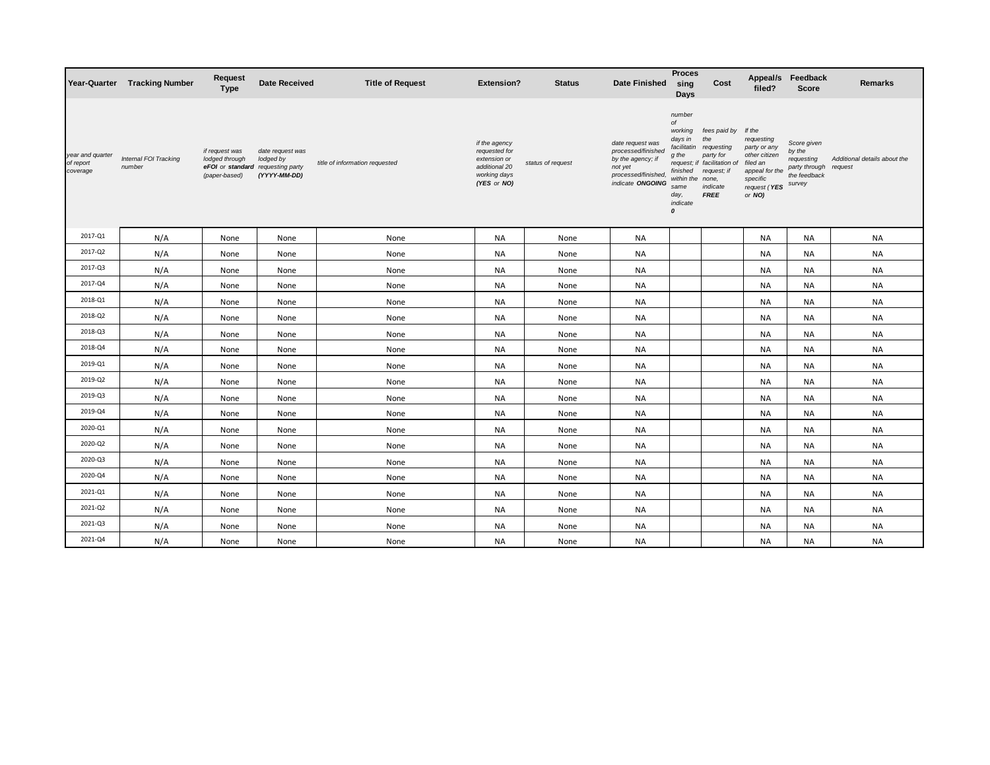|                                           | Year-Quarter Tracking Number    | <b>Request</b><br><b>Type</b>                     | <b>Date Received</b>                                                               | <b>Title of Request</b>        | <b>Extension?</b>                                                                              | <b>Status</b>     | <b>Date Finished</b>                                                                                              | <b>Proces</b><br>sing<br>Days                                                                                                        | Cost                                                                                                                             | filed?                                                                                                                    | Appeal/s Feedback<br><b>Score</b>                                              | <b>Remarks</b>                          |
|-------------------------------------------|---------------------------------|---------------------------------------------------|------------------------------------------------------------------------------------|--------------------------------|------------------------------------------------------------------------------------------------|-------------------|-------------------------------------------------------------------------------------------------------------------|--------------------------------------------------------------------------------------------------------------------------------------|----------------------------------------------------------------------------------------------------------------------------------|---------------------------------------------------------------------------------------------------------------------------|--------------------------------------------------------------------------------|-----------------------------------------|
| year and quarter<br>of report<br>coverage | Internal FOI Tracking<br>number | if request was<br>lodged through<br>(paper-based) | date request was<br>lodged by<br>eFOI or standard requesting party<br>(YYYY-MM-DD) | title of information requested | if the agency<br>requested for<br>extension or<br>additional 20<br>working days<br>(YES or NO) | status of request | date request was<br>processed/finished<br>by the agency; if<br>not yet<br>processed/finished,<br>indicate ONGOING | number<br>of<br>working<br>days in<br>facilitatin<br>g the<br>finished<br>within the<br>same<br>day,<br>indicate<br>$\boldsymbol{0}$ | fees paid by<br>the<br>requesting<br>party for<br>request; if facilitation of<br>request; if<br>none,<br>indicate<br><b>FREE</b> | If the<br>requesting<br>party or any<br>other citizen<br>filed an<br>appeal for the<br>specific<br>request (YES<br>or NO) | Score given<br>by the<br>requesting<br>party through<br>the feedback<br>survey | Additional details about the<br>request |
| 2017-Q1                                   | N/A                             | None                                              | None                                                                               | None                           | <b>NA</b>                                                                                      | None              | <b>NA</b>                                                                                                         |                                                                                                                                      |                                                                                                                                  | NA                                                                                                                        | <b>NA</b>                                                                      | <b>NA</b>                               |
| 2017-Q2                                   | N/A                             | None                                              | None                                                                               | None                           | <b>NA</b>                                                                                      | None              | <b>NA</b>                                                                                                         |                                                                                                                                      |                                                                                                                                  | <b>NA</b>                                                                                                                 | <b>NA</b>                                                                      | <b>NA</b>                               |
| 2017-Q3                                   | N/A                             | None                                              | None                                                                               | None                           | NA                                                                                             | None              | <b>NA</b>                                                                                                         |                                                                                                                                      |                                                                                                                                  | NA                                                                                                                        | NA                                                                             | <b>NA</b>                               |
| 2017-Q4                                   | N/A                             | None                                              | None                                                                               | None                           | <b>NA</b>                                                                                      | None              | <b>NA</b>                                                                                                         |                                                                                                                                      |                                                                                                                                  | NA                                                                                                                        | <b>NA</b>                                                                      | <b>NA</b>                               |
| 2018-Q1                                   | N/A                             | None                                              | None                                                                               | None                           | <b>NA</b>                                                                                      | None              | <b>NA</b>                                                                                                         |                                                                                                                                      |                                                                                                                                  | <b>NA</b>                                                                                                                 | <b>NA</b>                                                                      | <b>NA</b>                               |
| 2018-Q2                                   | N/A                             | None                                              | None                                                                               | None                           | <b>NA</b>                                                                                      | None              | <b>NA</b>                                                                                                         |                                                                                                                                      |                                                                                                                                  | NA                                                                                                                        | <b>NA</b>                                                                      | <b>NA</b>                               |
| 2018-Q3                                   | N/A                             | None                                              | None                                                                               | None                           | <b>NA</b>                                                                                      | None              | <b>NA</b>                                                                                                         |                                                                                                                                      |                                                                                                                                  | NA                                                                                                                        | <b>NA</b>                                                                      | <b>NA</b>                               |
| 2018-Q4                                   | N/A                             | None                                              | None                                                                               | None                           | <b>NA</b>                                                                                      | None              | <b>NA</b>                                                                                                         |                                                                                                                                      |                                                                                                                                  | <b>NA</b>                                                                                                                 | <b>NA</b>                                                                      | <b>NA</b>                               |
| 2019-Q1                                   | N/A                             | None                                              | None                                                                               | None                           | NA                                                                                             | None              | NA                                                                                                                |                                                                                                                                      |                                                                                                                                  | NA                                                                                                                        | NA                                                                             | <b>NA</b>                               |
| 2019-Q2                                   | N/A                             | None                                              | None                                                                               | None                           | <b>NA</b>                                                                                      | None              | <b>NA</b>                                                                                                         |                                                                                                                                      |                                                                                                                                  | NA                                                                                                                        | <b>NA</b>                                                                      | <b>NA</b>                               |
| 2019-Q3                                   | N/A                             | None                                              | None                                                                               | None                           | NA                                                                                             | None              | NA                                                                                                                |                                                                                                                                      |                                                                                                                                  | NA                                                                                                                        | NA                                                                             | <b>NA</b>                               |
| 2019-Q4                                   | N/A                             | None                                              | None                                                                               | None                           | <b>NA</b>                                                                                      | None              | <b>NA</b>                                                                                                         |                                                                                                                                      |                                                                                                                                  | NA                                                                                                                        | <b>NA</b>                                                                      | <b>NA</b>                               |
| 2020-Q1                                   | N/A                             | None                                              | None                                                                               | None                           | <b>NA</b>                                                                                      | None              | <b>NA</b>                                                                                                         |                                                                                                                                      |                                                                                                                                  | NA                                                                                                                        | <b>NA</b>                                                                      | <b>NA</b>                               |
| 2020-Q2                                   | N/A                             | None                                              | None                                                                               | None                           | NA                                                                                             | None              | NA                                                                                                                |                                                                                                                                      |                                                                                                                                  | NA                                                                                                                        | <b>NA</b>                                                                      | <b>NA</b>                               |
| 2020-Q3                                   | N/A                             | None                                              | None                                                                               | None                           | NA                                                                                             | None              | NA                                                                                                                |                                                                                                                                      |                                                                                                                                  | NA                                                                                                                        | NA                                                                             | <b>NA</b>                               |
| 2020-Q4                                   | N/A                             | None                                              | None                                                                               | None                           | <b>NA</b>                                                                                      | None              | <b>NA</b>                                                                                                         |                                                                                                                                      |                                                                                                                                  | <b>NA</b>                                                                                                                 | <b>NA</b>                                                                      | <b>NA</b>                               |
| 2021-Q1                                   | N/A                             | None                                              | None                                                                               | None                           | NA                                                                                             | None              | NA                                                                                                                |                                                                                                                                      |                                                                                                                                  | NA                                                                                                                        | <b>NA</b>                                                                      | <b>NA</b>                               |
| 2021-Q2                                   | N/A                             | None                                              | None                                                                               | None                           | <b>NA</b>                                                                                      | None              | <b>NA</b>                                                                                                         |                                                                                                                                      |                                                                                                                                  | NA                                                                                                                        | <b>NA</b>                                                                      | <b>NA</b>                               |
| 2021-Q3                                   | N/A                             | None                                              | None                                                                               | None                           | <b>NA</b>                                                                                      | None              | <b>NA</b>                                                                                                         |                                                                                                                                      |                                                                                                                                  | NA                                                                                                                        | NA                                                                             | <b>NA</b>                               |
| 2021-Q4                                   | N/A                             | None                                              | None                                                                               | None                           | <b>NA</b>                                                                                      | None              | <b>NA</b>                                                                                                         |                                                                                                                                      |                                                                                                                                  | <b>NA</b>                                                                                                                 | <b>NA</b>                                                                      | <b>NA</b>                               |